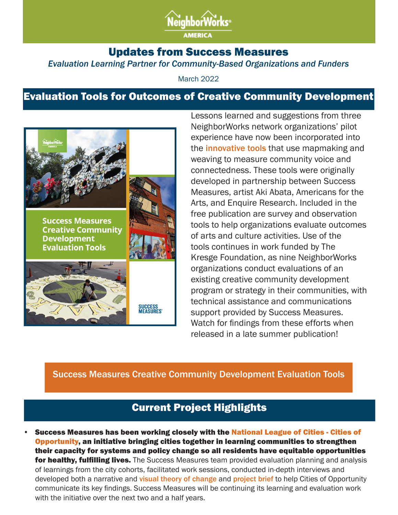

#### Updates from Success Measures *Evaluation Learning Partner for Community-Based Organizations and Funders*

March 2022

# Evaluation Tools for Outcomes of Creative Community Development



Lessons learned and suggestions from three NeighborWorks network organizations' pilot experience have now been incorporated into the *innovative tools* that use mapmaking and weaving to measure community voice and connectedness. These tools were originally developed in partnership between Success Measures, artist Aki Abata, Americans for the Arts, and Enquire Research. Included in the free publication are survey and observation tools to help organizations evaluate outcomes of arts and culture activities. Use of the tools continues in work funded by The Kresge Foundation, as nine NeighborWorks organizations conduct evaluations of an existing creative community development program or strategy in their communities, with technical assistance and communications support provided by Success Measures. Watch for findings from these efforts when released in a late summer publication!

#### Success Measures Creative Community Development Evaluation Tools

### Current Project Highlights

Success Measures has been working closely with the National League of Cities - Cities of Opportunity, an initiative bringing cities together in learning communities to strengthen their capacity for systems and policy change so all residents have equitable opportunities for healthy, fulfilling lives. The Success Measures team provided evaluation planning and analysis of learnings from the city cohorts, facilitated work sessions, conducted in-depth interviews and developed both a narrative and visual theory of change and project brief to help Cities of Opportunity communicate its key findings. Success Measures will be continuing its learning and evaluation work with the initiative over the next two and a half years.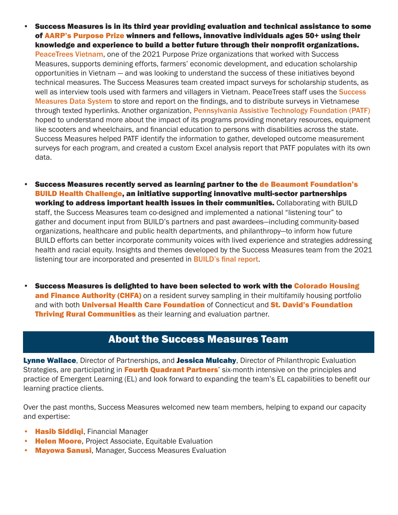- Success Measures is in its third year providing evaluation and technical assistance to some of AARP's Purpose Prize winners and fellows, innovative individuals ages 50+ using their knowledge and experience to build a better future through their nonprofit organizations. PeaceTrees Vietnam, one of the 2021 Purpose Prize organizations that worked with Success Measures, supports demining efforts, farmers' economic development, and education scholarship opportunities in Vietnam — and was looking to understand the success of these initiatives beyond technical measures. The Success Measures team created impact surveys for scholarship students, as well as interview tools used with farmers and villagers in Vietnam. PeaceTrees staff uses the **Success** Measures Data System to store and report on the findings, and to distribute surveys in Vietnamese through texted hyperlinks. Another organization, Pennsylvania Assistive Technology Foundation (PATF) hoped to understand more about the impact of its programs providing monetary resources, equipment like scooters and wheelchairs, and financial education to persons with disabilities across the state. Success Measures helped PATF identify the information to gather, developed outcome measurement surveys for each program, and created a custom Excel analysis report that PATF populates with its own data.
- Success Measures recently served as learning partner to the de Beaumont Foundation's BUILD Health Challenge, an initiative supporting innovative multi-sector partnerships working to address important health issues in their communities. Collaborating with BUILD staff, the Success Measures team co-designed and implemented a national "listening tour" to gather and document input from BUILD's partners and past awardees—including community-based organizations, healthcare and public health departments, and philanthropy—to inform how future BUILD efforts can better incorporate community voices with lived experience and strategies addressing health and racial equity. Insights and themes developed by the Success Measures team from the 2021 listening tour are incorporated and presented in **BUILD's final report**.
- • Success Measures is delighted to have been selected to work with the Colorado Housing **and Finance Authority (CHFA)** on a resident survey sampling in their multifamily housing portfolio and with both **Universal Health Care Foundation** of Connecticut and **St. David's Foundation Thriving Rural Communities** as their learning and evaluation partner.

## About the Success Measures Team

Lynne Wallace, Director of Partnerships, and Jessica Mulcahy, Director of Philanthropic Evaluation Strategies, are participating in Fourth Quadrant Partners' six-month intensive on the principles and practice of Emergent Learning (EL) and look forward to expanding the team's EL capabilities to benefit our learning practice clients.

Over the past months, Success Measures welcomed new team members, helping to expand our capacity and expertise:

- **Hasib Siddiqi**, Financial Manager
- **Helen Moore, Project Associate, Equitable Evaluation**
- Mayowa Sanusi, Manager, Success Measures Evaluation